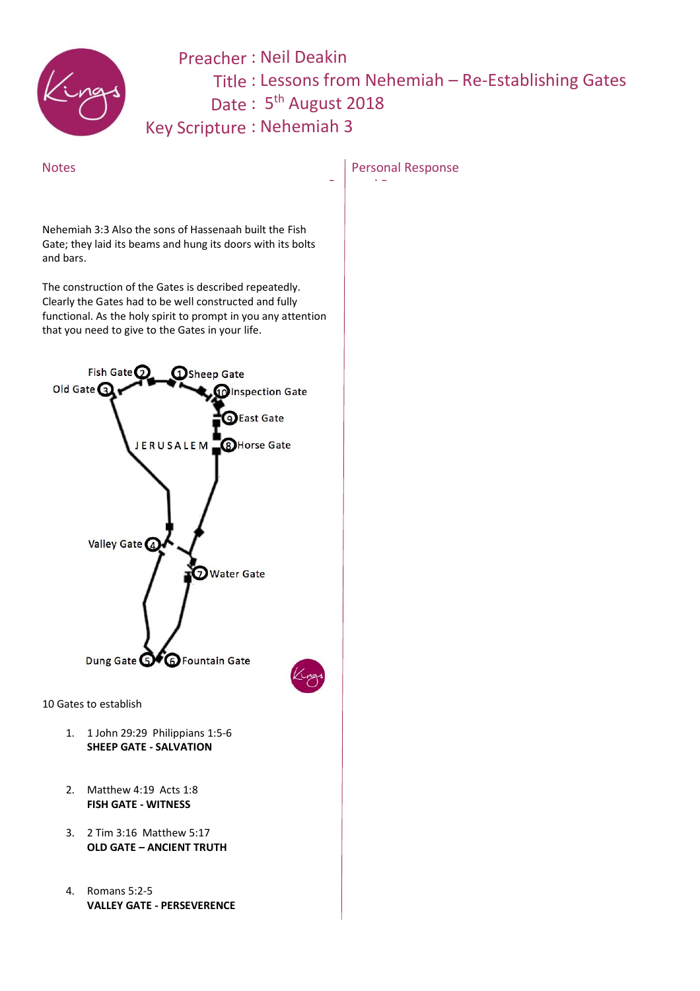

## Preacher: Neil Deakin Title: Lessons from Nehemiah – Re-Establishing Gates Date: 5<sup>th</sup> August 2018

Key Scripture : Nehemiah 3